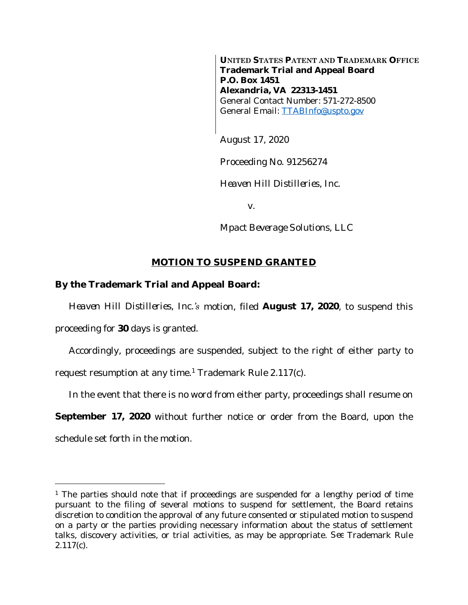**UNITED STATES PATENT AND TRADEMARK OFFICE Trademark Trial and Appeal Board P.O. Box 1451 Alexandria, VA 22313-1451** General Contact Number: 571-272-8500 General Email: [TTABInfo@uspto.gov](mailto:TTABInfo@uspto.gov)

August 17, 2020

Proceeding No. 91256274

*Heaven Hill Distilleries, Inc.*

v.

*Mpact Beverage Solutions, LLC*

## **MOTION TO SUSPEND GRANTED**

## **By the Trademark Trial and Appeal Board:**

*Heaven Hill Distilleries, Inc.'s* motion, filed **August 17, 2020**, to suspend this

proceeding for **30** days is granted.

Accordingly, proceedings are suspended, subject to the right of either party to request resumption at any time.<sup>1</sup> Trademark Rule 2.117(c).

In the event that there is no word from either party, proceedings shall resume on

**September 17, 2020** without further notice or order from the Board, upon the schedule set forth in the motion.

<sup>&</sup>lt;sup>1</sup> The parties should note that if proceedings are suspended for a lengthy period of time pursuant to the filing of several motions to suspend for settlement, the Board retains discretion to condition the approval of any future consented or stipulated motion to suspend on a party or the parties providing necessary information about the status of settlement talks, discovery activities, or trial activities, as may be appropriate. *See* Trademark Rule 2.117(c).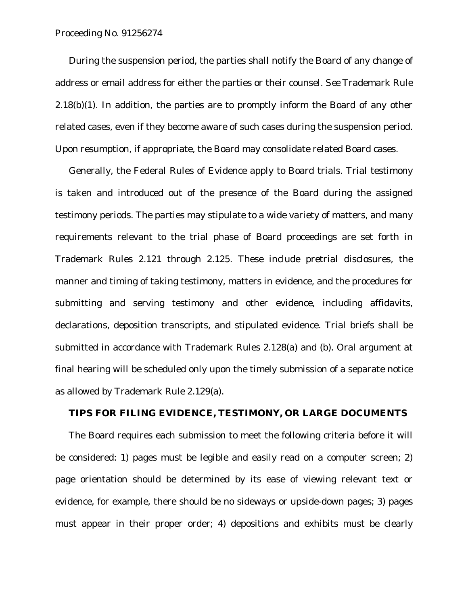Proceeding No. 91256274

During the suspension period, the parties shall notify the Board of any change of address or email address for either the parties or their counsel. *See* Trademark Rule  $2.18(b)(1)$ . In addition, the parties are to promptly inform the Board of any other related cases, even if they become aware of such cases during the suspension period. Upon resumption, if appropriate, the Board may consolidate related Board cases.

Generally, the Federal Rules of Evidence apply to Board trials. Trial testimony is taken and introduced out of the presence of the Board during the assigned testimony periods. The parties may stipulate to a wide variety of matters, and many requirements relevant to the trial phase of Board proceedings are set forth in Trademark Rules 2.121 through 2.125. These include pretrial disclosures, the manner and timing of taking testimony, matters in evidence, and the procedures for submitting and serving testimony and other evidence, including affidavits, declarations, deposition transcripts, and stipulated evidence. Trial briefs shall be submitted in accordance with Trademark Rules 2.128(a) and (b). Oral argument at final hearing will be scheduled only upon the timely submission of a separate notice as allowed by Trademark Rule 2.129(a).

## **TIPS FOR FILING EVIDENCE, TESTIMONY, OR LARGE DOCUMENTS**

The Board requires each submission to meet the following criteria before it will be considered: 1) pages must be legible and easily read on a computer screen; 2) page orientation should be determined by its ease of viewing relevant text or evidence, for example, there should be no sideways or upside-down pages; 3) pages must appear in their proper order; 4) depositions and exhibits must be clearly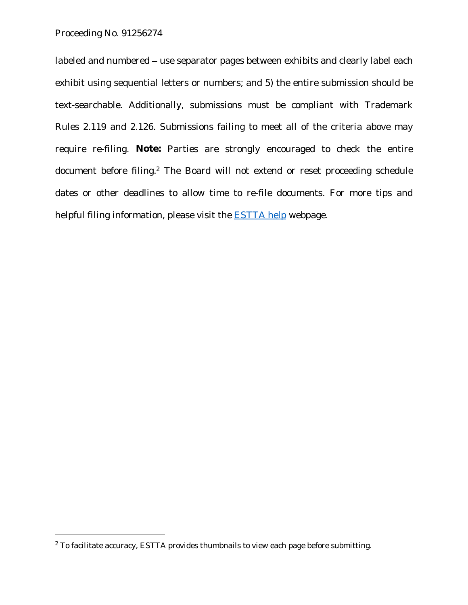labeled and numbered – use separator pages between exhibits and clearly label each exhibit using sequential letters or numbers; and 5) the entire submission should be text-searchable. Additionally, submissions must be compliant with Trademark Rules 2.119 and 2.126. Submissions failing to meet all of the criteria above may require re-filing. **Note:** Parties are strongly encouraged to check the entire document before filing.<sup>2</sup> The Board will not extend or reset proceeding schedule dates or other deadlines to allow time to re-file documents. For more tips and helpful filing information, please visit the **ESTTA** help webpage.

 $2$  To facilitate accuracy, ESTTA provides thumbnails to view each page before submitting.